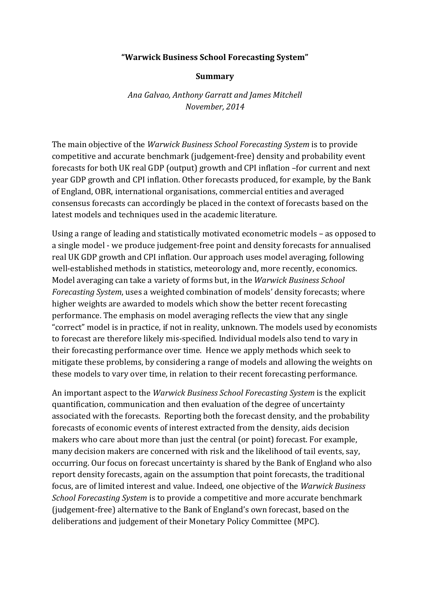## **"Warwick Business School Forecasting System"**

## **Summary**

*Ana Galvao, Anthony Garratt and James Mitchell November, 2014*

The main objective of the *Warwick Business School Forecasting System* is to provide competitive and accurate benchmark (judgement-free) density and probability event forecasts for both UK real GDP (output) growth and CPI inflation –for current and next year GDP growth and CPI inflation. Other forecasts produced, for example, by the Bank of England, OBR, international organisations, commercial entities and averaged consensus forecasts can accordingly be placed in the context of forecasts based on the latest models and techniques used in the academic literature.

Using a range of leading and statistically motivated econometric models – as opposed to a single model - we produce judgement-free point and density forecasts for annualised real UK GDP growth and CPI inflation. Our approach uses model averaging, following well-established methods in statistics, meteorology and, more recently, economics. Model averaging can take a variety of forms but, in the *Warwick Business School Forecasting System*, uses a weighted combination of models' density forecasts; where higher weights are awarded to models which show the better recent forecasting performance. The emphasis on model averaging reflects the view that any single "correct" model is in practice, if not in reality, unknown. The models used by economists to forecast are therefore likely mis-specified. Individual models also tend to vary in their forecasting performance over time. Hence we apply methods which seek to mitigate these problems, by considering a range of models and allowing the weights on these models to vary over time, in relation to their recent forecasting performance.

An important aspect to the *Warwick Business School Forecasting System* is the explicit quantification, communication and then evaluation of the degree of uncertainty associated with the forecasts. Reporting both the forecast density, and the probability forecasts of economic events of interest extracted from the density, aids decision makers who care about more than just the central (or point) forecast. For example, many decision makers are concerned with risk and the likelihood of tail events, say, occurring. Our focus on forecast uncertainty is shared by the Bank of England who also report density forecasts, again on the assumption that point forecasts, the traditional focus, are of limited interest and value. Indeed, one objective of the *Warwick Business School Forecasting System* is to provide a competitive and more accurate benchmark (judgement-free) alternative to the Bank of England's own forecast, based on the deliberations and judgement of their Monetary Policy Committee (MPC).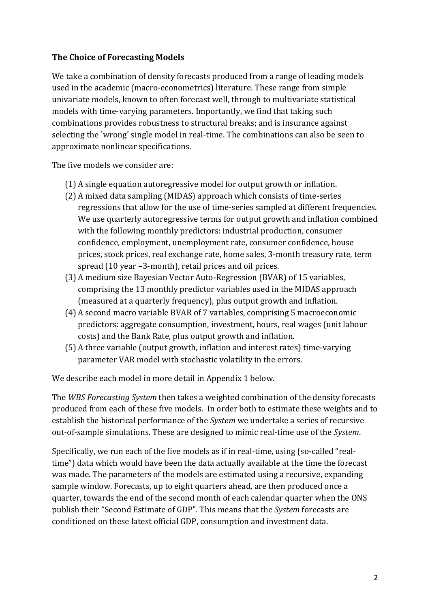# **The Choice of Forecasting Models**

We take a combination of density forecasts produced from a range of leading models used in the academic (macro-econometrics) literature. These range from simple univariate models, known to often forecast well, through to multivariate statistical models with time-varying parameters. Importantly, we find that taking such combinations provides robustness to structural breaks; and is insurance against selecting the `wrong' single model in real-time. The combinations can also be seen to approximate nonlinear specifications.

The five models we consider are:

- (1) A single equation autoregressive model for output growth or inflation.
- (2) A mixed data sampling (MIDAS) approach which consists of time-series regressions that allow for the use of time-series sampled at different frequencies. We use quarterly autoregressive terms for output growth and inflation combined with the following monthly predictors: industrial production, consumer confidence, employment, unemployment rate, consumer confidence, house prices, stock prices, real exchange rate, home sales, 3-month treasury rate, term spread (10 year –3-month), retail prices and oil prices.
- (3) A medium size Bayesian Vector Auto-Regression (BVAR) of 15 variables, comprising the 13 monthly predictor variables used in the MIDAS approach (measured at a quarterly frequency), plus output growth and inflation.
- (4) A second macro variable BVAR of 7 variables, comprising 5 macroeconomic predictors: aggregate consumption, investment, hours, real wages (unit labour costs) and the Bank Rate, plus output growth and inflation.
- (5) A three variable (output growth, inflation and interest rates) time-varying parameter VAR model with stochastic volatility in the errors.

We describe each model in more detail in Appendix 1 below.

The *WBS Forecasting System* then takes a weighted combination of the density forecasts produced from each of these five models. In order both to estimate these weights and to establish the historical performance of the *System* we undertake a series of recursive out-of-sample simulations. These are designed to mimic real-time use of the *System*.

Specifically, we run each of the five models as if in real-time, using (so-called "realtime") data which would have been the data actually available at the time the forecast was made. The parameters of the models are estimated using a recursive, expanding sample window. Forecasts, up to eight quarters ahead, are then produced once a quarter, towards the end of the second month of each calendar quarter when the ONS publish their "Second Estimate of GDP". This means that the *System* forecasts are conditioned on these latest official GDP, consumption and investment data.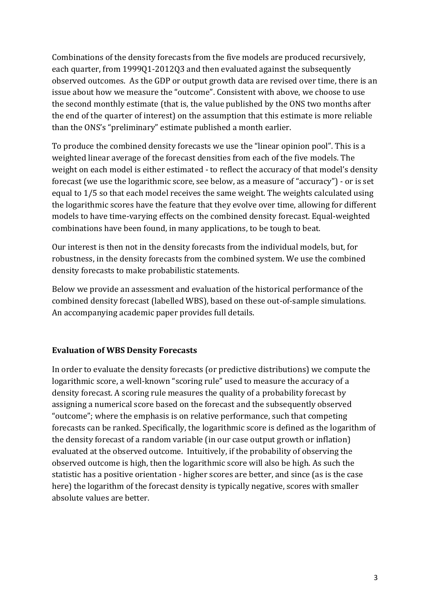Combinations of the density forecasts from the five models are produced recursively, each quarter, from 1999Q1-2012Q3 and then evaluated against the subsequently observed outcomes. As the GDP or output growth data are revised over time, there is an issue about how we measure the "outcome". Consistent with above, we choose to use the second monthly estimate (that is, the value published by the ONS two months after the end of the quarter of interest) on the assumption that this estimate is more reliable than the ONS's "preliminary" estimate published a month earlier.

To produce the combined density forecasts we use the "linear opinion pool". This is a weighted linear average of the forecast densities from each of the five models. The weight on each model is either estimated - to reflect the accuracy of that model's density forecast (we use the logarithmic score, see below, as a measure of "accuracy") - or is set equal to 1/5 so that each model receives the same weight. The weights calculated using the logarithmic scores have the feature that they evolve over time, allowing for different models to have time-varying effects on the combined density forecast. Equal-weighted combinations have been found, in many applications, to be tough to beat.

Our interest is then not in the density forecasts from the individual models, but, for robustness, in the density forecasts from the combined system. We use the combined density forecasts to make probabilistic statements.

Below we provide an assessment and evaluation of the historical performance of the combined density forecast (labelled WBS), based on these out-of-sample simulations. An accompanying academic paper provides full details.

## **Evaluation of WBS Density Forecasts**

In order to evaluate the density forecasts (or predictive distributions) we compute the logarithmic score, a well-known "scoring rule" used to measure the accuracy of a density forecast. A scoring rule measures the quality of a probability forecast by assigning a numerical score based on the forecast and the subsequently observed "outcome"; where the emphasis is on relative performance, such that competing forecasts can be ranked. Specifically, the logarithmic score is defined as the logarithm of the density forecast of a random variable (in our case output growth or inflation) evaluated at the observed outcome. Intuitively, if the probability of observing the observed outcome is high, then the logarithmic score will also be high. As such the statistic has a positive orientation - higher scores are better, and since (as is the case here) the logarithm of the forecast density is typically negative, scores with smaller absolute values are better.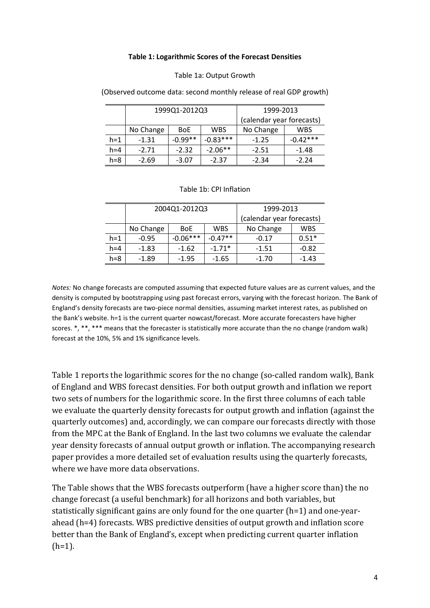#### **Table 1: Logarithmic Scores of the Forecast Densities**

#### Table 1a: Output Growth

|         | 1999Q1-2012Q3 |            |            | 1999-2013                 |            |
|---------|---------------|------------|------------|---------------------------|------------|
|         |               |            |            | (calendar year forecasts) |            |
|         | No Change     | <b>BoE</b> | <b>WBS</b> | No Change                 | WBS        |
| $h=1$   | $-1.31$       | $-0.99**$  | $-0.83***$ | $-1.25$                   | $-0.42***$ |
| $h = 4$ | $-2.71$       | $-2.32$    | $-2.06**$  | $-2.51$                   | $-1.48$    |
| $h=8$   | $-2.69$       | $-3.07$    | $-2.37$    | $-2.34$                   | $-2.24$    |

(Observed outcome data: second monthly release of real GDP growth)

### Table 1b: CPI Inflation

|         | 2004Q1-2012Q3 |            |            | 1999-2013                 |            |
|---------|---------------|------------|------------|---------------------------|------------|
|         |               |            |            | (calendar year forecasts) |            |
|         | No Change     | <b>BoE</b> | <b>WBS</b> | No Change                 | <b>WBS</b> |
| $h=1$   | $-0.95$       | $-0.06***$ | $-0.47**$  | $-0.17$                   | $0.51*$    |
| $h = 4$ | $-1.83$       | $-1.62$    | $-1.71*$   | -1.51                     | $-0.82$    |
| $h = 8$ | -1.89         | $-1.95$    | $-1.65$    | $-1.70$                   | $-1.43$    |

*Notes:* No change forecasts are computed assuming that expected future values are as current values, and the density is computed by bootstrapping using past forecast errors, varying with the forecast horizon. The Bank of England's density forecasts are two-piece normal densities, assuming market interest rates, as published on the Bank's website. h=1 is the current quarter nowcast/forecast. More accurate forecasters have higher scores. \*, \*\*, \*\*\* means that the forecaster is statistically more accurate than the no change (random walk) forecast at the 10%, 5% and 1% significance levels.

Table 1 reports the logarithmic scores for the no change (so-called random walk), Bank of England and WBS forecast densities. For both output growth and inflation we report two sets of numbers for the logarithmic score. In the first three columns of each table we evaluate the quarterly density forecasts for output growth and inflation (against the quarterly outcomes) and, accordingly, we can compare our forecasts directly with those from the MPC at the Bank of England. In the last two columns we evaluate the calendar year density forecasts of annual output growth or inflation. The accompanying research paper provides a more detailed set of evaluation results using the quarterly forecasts, where we have more data observations.

The Table shows that the WBS forecasts outperform (have a higher score than) the no change forecast (a useful benchmark) for all horizons and both variables, but statistically significant gains are only found for the one quarter (h=1) and one-yearahead (h=4) forecasts. WBS predictive densities of output growth and inflation score better than the Bank of England's, except when predicting current quarter inflation  $(h=1)$ .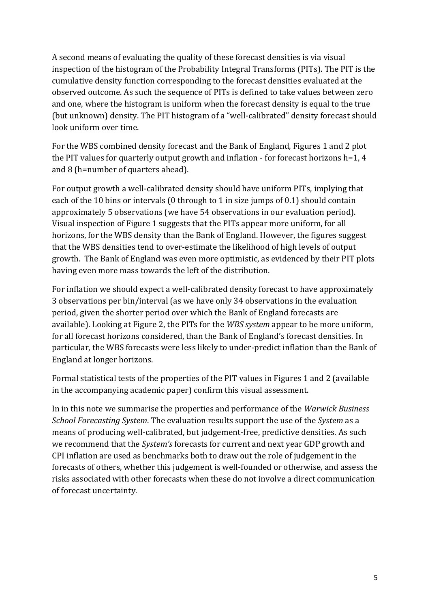A second means of evaluating the quality of these forecast densities is via visual inspection of the histogram of the Probability Integral Transforms (PITs). The PIT is the cumulative density function corresponding to the forecast densities evaluated at the observed outcome. As such the sequence of PITs is defined to take values between zero and one, where the histogram is uniform when the forecast density is equal to the true (but unknown) density. The PIT histogram of a "well-calibrated" density forecast should look uniform over time.

For the WBS combined density forecast and the Bank of England, Figures 1 and 2 plot the PIT values for quarterly output growth and inflation - for forecast horizons  $h=1, 4$ and 8 (h=number of quarters ahead).

For output growth a well-calibrated density should have uniform PITs, implying that each of the 10 bins or intervals (0 through to 1 in size jumps of 0.1) should contain approximately 5 observations (we have 54 observations in our evaluation period). Visual inspection of Figure 1 suggests that the PITs appear more uniform, for all horizons, for the WBS density than the Bank of England. However, the figures suggest that the WBS densities tend to over-estimate the likelihood of high levels of output growth. The Bank of England was even more optimistic, as evidenced by their PIT plots having even more mass towards the left of the distribution.

For inflation we should expect a well-calibrated density forecast to have approximately 3 observations per bin/interval (as we have only 34 observations in the evaluation period, given the shorter period over which the Bank of England forecasts are available). Looking at Figure 2, the PITs for the *WBS system* appear to be more uniform, for all forecast horizons considered, than the Bank of England's forecast densities. In particular, the WBS forecasts were less likely to under-predict inflation than the Bank of England at longer horizons.

Formal statistical tests of the properties of the PIT values in Figures 1 and 2 (available in the accompanying academic paper) confirm this visual assessment.

In in this note we summarise the properties and performance of the *Warwick Business School Forecasting System*. The evaluation results support the use of the *System* as a means of producing well-calibrated, but judgement-free, predictive densities. As such we recommend that the *System's* forecasts for current and next year GDP growth and CPI inflation are used as benchmarks both to draw out the role of judgement in the forecasts of others, whether this judgement is well-founded or otherwise, and assess the risks associated with other forecasts when these do not involve a direct communication of forecast uncertainty.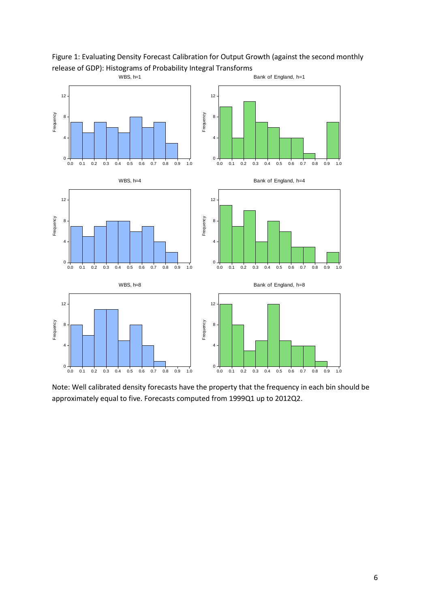

Figure 1: Evaluating Density Forecast Calibration for Output Growth (against the second monthly release of GDP): Histograms of Probability Integral Transforms

Note: Well calibrated density forecasts have the property that the frequency in each bin should be approximately equal to five. Forecasts computed from 1999Q1 up to 2012Q2.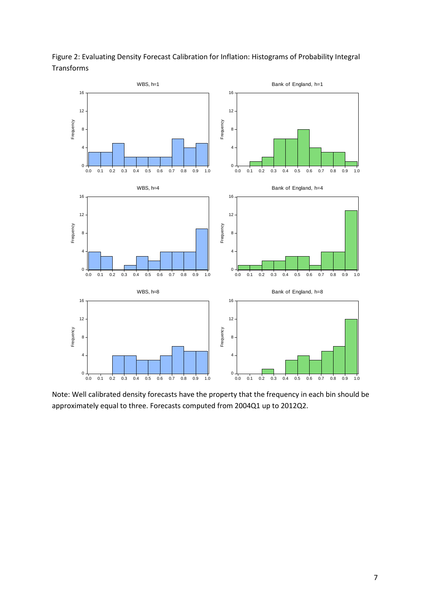Figure 2: Evaluating Density Forecast Calibration for Inflation: Histograms of Probability Integral Transforms



Note: Well calibrated density forecasts have the property that the frequency in each bin should be approximately equal to three. Forecasts computed from 2004Q1 up to 2012Q2.